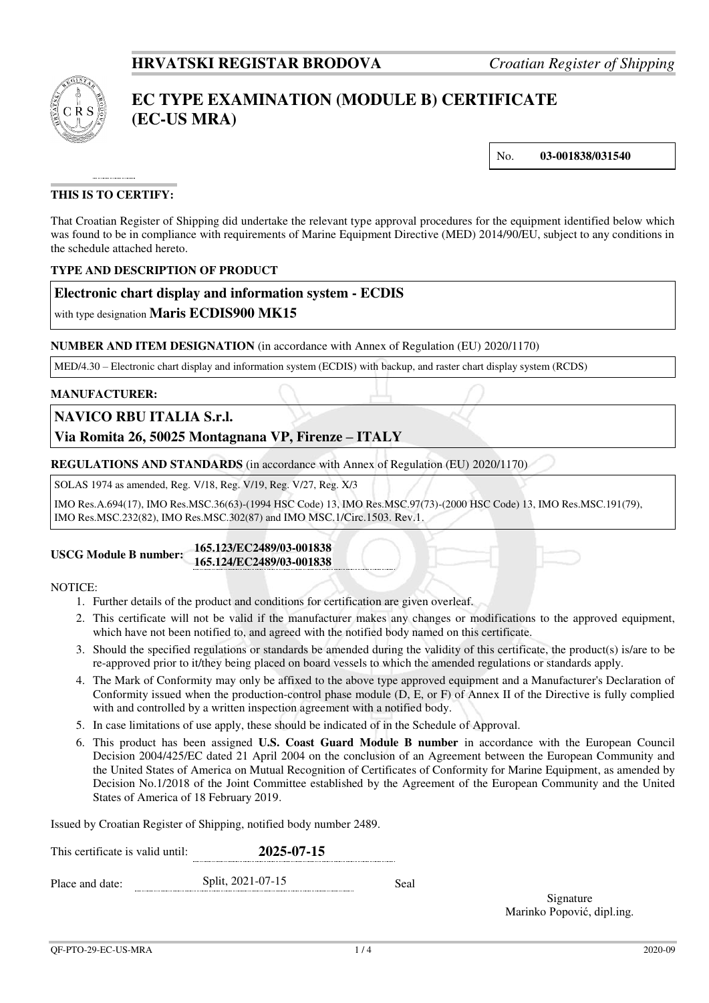

# **EC TYPE EXAMINATION (MODULE B) CERTIFICATE (EC-US MRA)**

No. **03-001838/031540**

## **THIS IS TO CERTIFY:**

That Croatian Register of Shipping did undertake the relevant type approval procedures for the equipment identified below which was found to be in compliance with requirements of Marine Equipment Directive (MED) 2014/90/EU, subject to any conditions in the schedule attached hereto.

## **TYPE AND DESCRIPTION OF PRODUCT**

## **Electronic chart display and information system - ECDIS**

with type designation **Maris ECDIS900 MK15**

## **NUMBER AND ITEM DESIGNATION** (in accordance with Annex of Regulation (EU) 2020/1170)

MED/4.30 – Electronic chart display and information system (ECDIS) with backup, and raster chart display system (RCDS)

#### **MANUFACTURER:**

## **NAVICO RBU ITALIA S.r.l.**

## **Via Romita 26, 50025 Montagnana VP, Firenze – ITALY**

**REGULATIONS AND STANDARDS** (in accordance with Annex of Regulation (EU) 2020/1170)

SOLAS 1974 as amended, Reg. V/18, Reg. V/19, Reg. V/27, Reg. X/3

IMO Res.A.694(17), IMO Res.MSC.36(63)-(1994 HSC Code) 13, IMO Res.MSC.97(73)-(2000 HSC Code) 13, IMO Res.MSC.191(79), IMO Res.MSC.232(82), IMO Res.MSC.302(87) and IMO MSC.1/Circ.1503. Rev.1.

#### **USCG Module B number: 165.123/EC2489/03-001838 165.124/EC2489/03-001838**

## NOTICE:

- 1. Further details of the product and conditions for certification are given overleaf.
- 2. This certificate will not be valid if the manufacturer makes any changes or modifications to the approved equipment, which have not been notified to, and agreed with the notified body named on this certificate.
- 3. Should the specified regulations or standards be amended during the validity of this certificate, the product(s) is/are to be re-approved prior to it/they being placed on board vessels to which the amended regulations or standards apply.
- 4. The Mark of Conformity may only be affixed to the above type approved equipment and a Manufacturer's Declaration of Conformity issued when the production-control phase module (D, E, or F) of Annex II of the Directive is fully complied with and controlled by a written inspection agreement with a notified body.
- 5. In case limitations of use apply, these should be indicated of in the Schedule of Approval.
- 6. This product has been assigned **U.S. Coast Guard Module B number** in accordance with the European Council Decision 2004/425/EC dated 21 April 2004 on the conclusion of an Agreement between the European Community and the United States of America on Mutual Recognition of Certificates of Conformity for Marine Equipment, as amended by Decision No.1/2018 of the Joint Committee established by the Agreement of the European Community and the United States of America of 18 February 2019.

Issued by Croatian Register of Shipping, notified body number 2489.

| This certificate is valid until: | 2025-07-15        |      |  |
|----------------------------------|-------------------|------|--|
| Place and date:                  | Split, 2021-07-15 | Seal |  |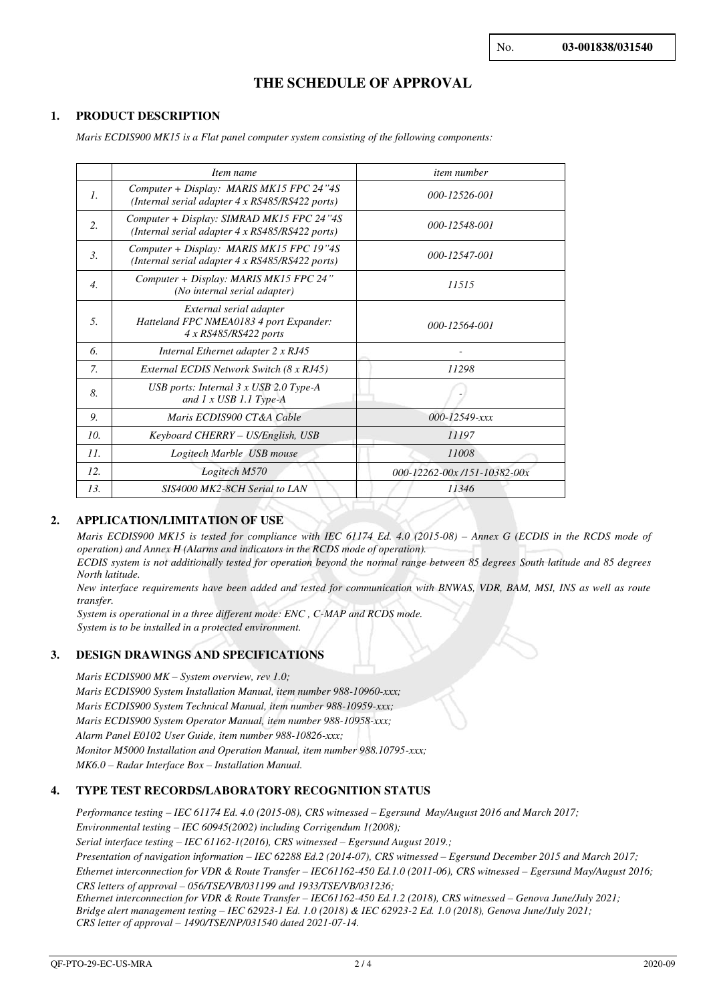## **THE SCHEDULE OF APPROVAL**

#### **1. PRODUCT DESCRIPTION**

*Maris ECDIS900 MK15 is a Flat panel computer system consisting of the following components:* 

|                  | Item name                                                                                          | <i>item number</i>           |  |
|------------------|----------------------------------------------------------------------------------------------------|------------------------------|--|
| 1.               | Computer + Display: MARIS MK15 FPC 24"4S<br>(Internal serial adapter $4 \times$ RS485/RS422 ports) | 000-12526-001                |  |
| 2.               | Computer + Display: SIMRAD MK15 FPC 24"4S<br>(Internal serial adapter 4 x RS485/RS422 ports)       | 000-12548-001                |  |
| $\mathfrak{Z}$ . | Computer + Display: MARIS MK15 FPC 19"4S<br>(Internal serial adapter $4 \times$ RS485/RS422 ports) | 000-12547-001                |  |
| $\overline{4}$ . | Computer + Display: MARIS MK15 FPC 24"<br>(No internal serial adapter)                             | 11515                        |  |
| 5.               | External serial adapter<br>Hatteland FPC NMEA0183 4 port Expander:<br>4 x RS485/RS422 ports        | 000-12564-001                |  |
| 6.               | Internal Ethernet adapter 2 x RJ45                                                                 |                              |  |
| $\mathcal{I}$    | External ECDIS Network Switch (8 x RJ45)                                                           | 11298                        |  |
| 8.               | USB ports: Internal $3 \times$ USB 2.0 Type-A<br>and $1 x \text{ USB } 1.1 \text{ Type-A}$         |                              |  |
| 9.               | Maris ECDIS900 CT&A Cable                                                                          | $000 - 12549 - xxx$          |  |
| 10.              | Keyboard CHERRY – US/English, USB                                                                  | 11197                        |  |
| 11.              | Logitech Marble USB mouse                                                                          | 11008                        |  |
| 12.              | Logitech M570                                                                                      | 000-12262-00x /151-10382-00x |  |
| 13.              | SIS4000 MK2-8CH Serial to LAN                                                                      | 11346                        |  |

#### **2. APPLICATION/LIMITATION OF USE**

*Maris ECDIS900 MK15 is tested for compliance with IEC 61174 Ed. 4.0 (2015-08) – Annex G (ECDIS in the RCDS mode of operation) and Annex H (Alarms and indicators in the RCDS mode of operation).* 

*ECDIS system is not additionally tested for operation beyond the normal range between 85 degrees South latitude and 85 degrees North latitude.* 

*New interface requirements have been added and tested for communication with BNWAS, VDR, BAM, MSI, INS as well as route transfer.* 

*System is operational in a three different mode: ENC , C-MAP and RCDS mode. System is to be installed in a protected environment.* 

#### **3. DESIGN DRAWINGS AND SPECIFICATIONS**

*Maris ECDIS900 MK – System overview, rev 1.0; Maris ECDIS900 System Installation Manual, item number 988-10960-xxx; Maris ECDIS900 System Technical Manual, item number 988-10959-xxx; Maris ECDIS900 System Operator Manual, item number 988-10958-xxx; Alarm Panel E0102 User Guide, item number 988-10826-xxx; Monitor M5000 Installation and Operation Manual, item number 988.10795-xxx; MK6.0 – Radar Interface Box – Installation Manual.* 

## **4. TYPE TEST RECORDS/LABORATORY RECOGNITION STATUS**

*Performance testing – IEC 61174 Ed. 4.0 (2015-08), CRS witnessed – Egersund May/August 2016 and March 2017; Environmental testing – IEC 60945(2002) including Corrigendum 1(2008); Serial interface testing – IEC 61162-1(2016), CRS witnessed – Egersund August 2019.; Presentation of navigation information – IEC 62288 Ed.2 (2014-07), CRS witnessed – Egersund December 2015 and March 2017; Ethernet interconnection for VDR & Route Transfer – IEC61162-450 Ed.1.0 (2011-06), CRS witnessed – Egersund May/August 2016; CRS letters of approval – 056/TSE/VB/031199 and 1933/TSE/VB/031236;* 

*Ethernet interconnection for VDR & Route Transfer – IEC61162-450 Ed.1.2 (2018), CRS witnessed – Genova June/July 2021; Bridge alert management testing – IEC 62923-1 Ed. 1.0 (2018) & IEC 62923-2 Ed. 1.0 (2018), Genova June/July 2021; CRS letter of approval – 1490/TSE/NP/031540 dated 2021-07-14.*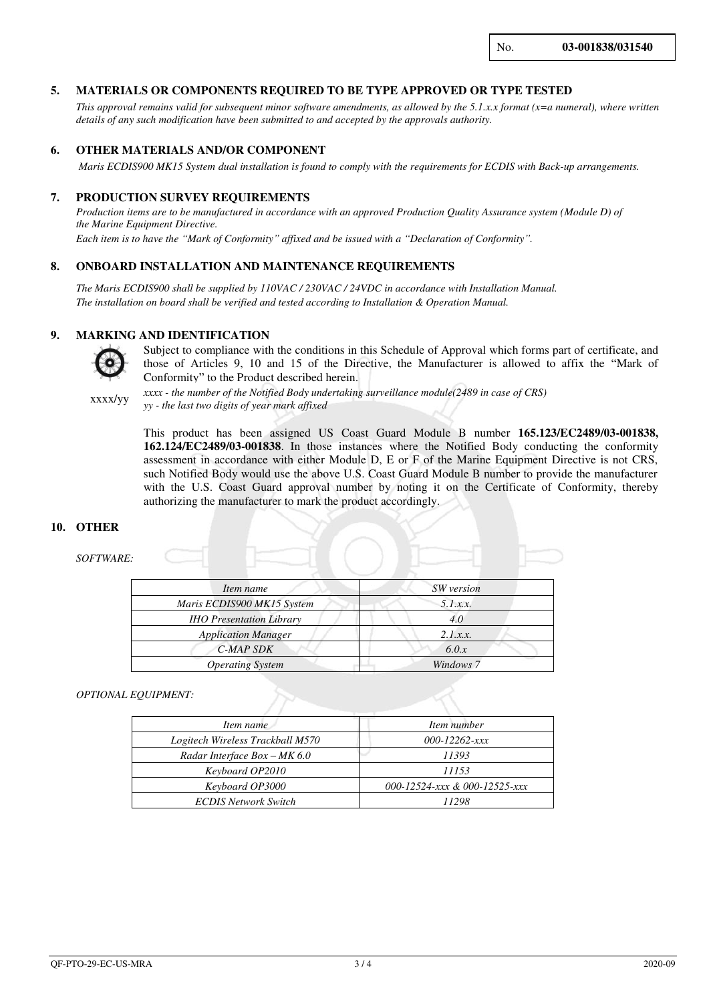No. **03-001838/031540**

#### **5. MATERIALS OR COMPONENTS REQUIRED TO BE TYPE APPROVED OR TYPE TESTED**

*This approval remains valid for subsequent minor software amendments, as allowed by the 5.1.x.x format (x=a numeral), where written details of any such modification have been submitted to and accepted by the approvals authority.*

#### **6. OTHER MATERIALS AND/OR COMPONENT**

 *Maris ECDIS900 MK15 System dual installation is found to comply with the requirements for ECDIS with Back-up arrangements.*

#### **7. PRODUCTION SURVEY REQUIREMENTS**

*Production items are to be manufactured in accordance with an approved Production Quality Assurance system (Module D) of the Marine Equipment Directive.* 

*Each item is to have the "Mark of Conformity" affixed and be issued with a "Declaration of Conformity".*

#### **8. ONBOARD INSTALLATION AND MAINTENANCE REQUIREMENTS**

*The Maris ECDIS900 shall be supplied by 110VAC / 230VAC / 24VDC in accordance with Installation Manual. The installation on board shall be verified and tested according to Installation & Operation Manual.*

#### **9. MARKING AND IDENTIFICATION**



Subject to compliance with the conditions in this Schedule of Approval which forms part of certificate, and those of Articles 9, 10 and 15 of the Directive, the Manufacturer is allowed to affix the "Mark of Conformity" to the Product described herein.

xxxx/yy

*xxxx - the number of the Notified Body undertaking surveillance module(2489 in case of CRS) yy - the last two digits of year mark affixed*

This product has been assigned US Coast Guard Module B number **165.123/EC2489/03-001838, 162.124/EC2489/03-001838**. In those instances where the Notified Body conducting the conformity assessment in accordance with either Module D, E or F of the Marine Equipment Directive is not CRS, such Notified Body would use the above U.S. Coast Guard Module B number to provide the manufacturer with the U.S. Coast Guard approval number by noting it on the Certificate of Conformity, thereby authorizing the manufacturer to mark the product accordingly.

#### **10. OTHER**

#### *SOFTWARE:*

| Item name                       | SW version |  |
|---------------------------------|------------|--|
| Maris ECDIS900 MK15 System      | 5.1.x.x.   |  |
| <b>IHO Presentation Library</b> | 4.0        |  |
| <b>Application Manager</b>      | 2.1.x.x.   |  |
| C-MAP SDK                       | 6.0.x      |  |
| <b>Operating System</b>         | Windows 7  |  |

#### *OPTIONAL EQUIPMENT:*

| Item name                        | Item number                   |  |
|----------------------------------|-------------------------------|--|
| Logitech Wireless Trackball M570 | $000 - 12262 - xxx$           |  |
| Radar Interface $Box - MK 6.0$   | 11393                         |  |
| Keyboard OP2010                  | 11153                         |  |
| Keyboard OP3000                  | 000-12524-xxx & 000-12525-xxx |  |
| <b>ECDIS Network Switch</b>      | 11298                         |  |